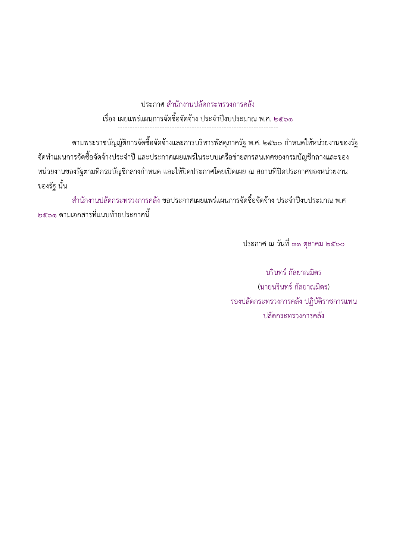ประกาศ สำนักงานปลัดกระทรวงการคลัง 

ิตามพระราชบัญญัติการจัดซื้อจัดจ้างและการบริหารพัสดุภาครัฐ พ.ศ. ๒๕๖๐ กำหนดให้หน่วยงานของรัฐ ้จัดทำแผนการจัดซื้อจัดจ้างประจำปี และประกาศเผยแพร่ในระบบเครือข่ายสารสนเทศของกรมบัญชีกลางและของ หน่วยงานของรัฐตามที่กรมบัญชีกลางกำหนด และให้ปิดประกาศโดยเปิดเผย ณ สถานที่ปิดประกาศของหน่วยงาน ของรัฐ นั้น

่ สำนักงานปลัดกระทรวงการคลัง ขอประกาศเผยแพร่แผนการจัดซื้อจัดจ้าง ประจำปีงบประมาณ พ.ศ ๒๕๖๑ ตามเอกสารที่แนบท้ายประกาศนี้

ประกาศ ณ วันที่ ๓๑ ตุลาคม ๒๕๖๐

้นรินทร์ กัลยาณมิตร (นายนรินทร์ กัลยาณมิตร) รองปลัดกระทรวงการคลัง ปฏิบัติราชการแทน ปลัดกระทรวงการคลัง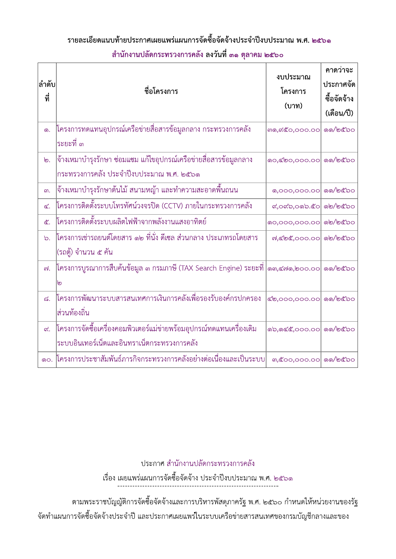## รายละเอียดแนบท้ายประกาศเผยแพร่แผนการจัดซื้อจัดจ้างประจำปิ้งบประมาณ พ.ศ. ๒๕๖๑ สำนักงานปลัดกระทรวงการค<sub>์</sub>

|                 | ้สำนักงานปลัดกระทรวงการคลัง ลงวันที่ ๓๑ ตุลาคม ๒๕๖๐                                                                |                              |                                                    |  |  |
|-----------------|--------------------------------------------------------------------------------------------------------------------|------------------------------|----------------------------------------------------|--|--|
| ลำดับ<br>ที่    | ชื่อโครงการ                                                                                                        | งบประมาณ<br>โครงการ<br>(บาท) | คาดว่าจะ<br>ประกาศจัด<br>ซื้อจัดจ้าง<br>(เดือน/ปี) |  |  |
| <b>.</b>        | โครงการทดแทนอุปกรณ์เครือข่ายสื่อสารข้อมูลกลาง กระทรวงการคลัง<br>ระยะที่ ๓                                          | mo, ๙๕๐, 000.00              | ෧෧/෨๕๖෮                                            |  |  |
| ๒.              | จ้างเหมาบำรุงรักษา ซ่อมแซม แก้ไขอุปกรณ์เครือข่ายสื่อสารข้อมูลกลาง<br>กระทรวงการคลัง ประจำปีงบประมาณ พ.ศ. ๒๕๖๑      | ©0,000.00                    | ෧෧/෨๕๖෮                                            |  |  |
| ៣.              | จ้างเหมาบำรุงรักษาต้นไม้ สนามหญ้า และทำความสะอาดพื้นถนน                                                            | 0,000,000.00                 | ෧෧/෨๕๖෮                                            |  |  |
| ๔.              | โครงการติดตั้งระบบโทรทัศน์วงจรปิด (CCTV) ภายในกระทรวงการคลัง                                                       | ๙,๐๙๖,๐๑๖.๕๐                 | ෧෨/෨๕๖෮                                            |  |  |
| ๕.              | โครงการติดตั้งระบบผลิตไฟฟ้าจากพลังงานแสงอาทิตย์                                                                    | 00,000,000.00                | ๑๒/๒๕๖๐                                            |  |  |
| $\mathcal{D}$ . | โครงการเช่ารถยนต์โดยสาร ๑๒ ที่นั่ง ดีเซล ส่วนกลาง ประเภทรถโดยสาร<br>(รถตู้) จำนวน ๕ คัน                            | ๗,๔๒๕,๐๐๐.๐๐  ๑๒/๒๕๖๐        |                                                    |  |  |
| ๗.              | โครงการบูรณาการสืบค้นข้อมูล ๓ กรมภาษี (TAX Search Engine) ระยะที่  ๑๓,๔๗๑,๒๐๐.๐๐  ๑๑/๒๕๖๐<br>ၜ                     |                              |                                                    |  |  |
| ಡ.              | โครงการพัฒนาระบบสารสนเทศการเงินการคลังเพื่อรองรับองค์กรปกครอง<br>ส่วนท้องถิ่น                                      | @ම,000,000.00                | ෧෧/෨ඦ෮෮                                            |  |  |
| $\alpha$ .      | โครงการจัดซื้อเครื่องคอมพิวเตอร์แม่ข่ายพร้อมอุปกรณ์ทดแทนเครื่องเดิม<br>ระบบอินเทอร์เน็ตและอินทราเน็ตกระทรวงการคลัง | <b>のb,の区と,000.00</b>         | ෧෧/෨ඦ෨                                             |  |  |
| 90.             | โครงการประชาสัมพันธ์ภารกิจกระทรวงการคลังอย่างต่อเนื่องและเป็นระบบ                                                  | ๓,๕๐๐,๐๐๐.๐๐  ๑๑/๒๕๖๐        |                                                    |  |  |

ประกาศ สำนักงานปลัดกระทรวงการคลัง

C6DI>7CrG<b6F<r=896ZP;\_Dg>ZP;ZJ97@6NZ]9@a7\@6NK9Ab3c3XUY2

ตามพระราชบัญญัติการจัดซื้อจัดจ้างและการบริหารพัสดุภาครัฐ พ.ศ. ๒๕๖๐ กำหนดให้หน่วยงานของรัฐ ้จัดทำแผนการจัดซื้อจัดจ้างประจำปี และประกาศเผยแพร่ในระบบเครือข่ายสารสนเทศของกรมบัญชีกลางและของ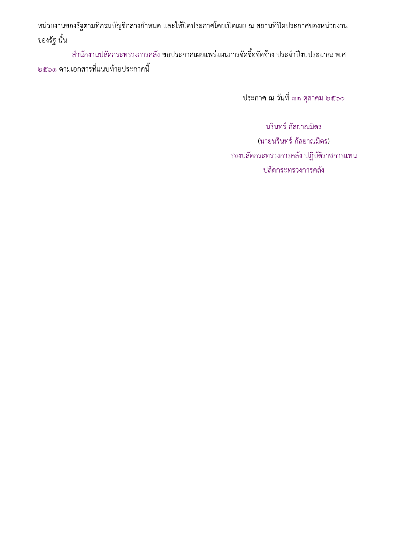หน่วยงานของรัฐตามที่กรมบัญชีกลางกำหนด และให้ปิดประกาศโดยเปิดเผย ณ สถานที่ปิดประกาศของหน่วยงาน ของรัฐ นั้น

้สำนักงานปลัดกระทรวงการคลัง ขอประกาศเผยแพร่แผนการจัดซื้อจัดจ้าง ประจำปีงบประมาณ พ.ศ ๒๕๖๑ ตามเอกสารที่แนบท้ายประกาศนี้

ประกาศ ณ วันที่ ๓๑ ตุลาคม ๒๕๖๐

นรินทร์ กัลยาณมิตร (นายนรินทร์ กัลยาณมิตร) รองปลัดกระทรวงการคลัง ปฏิบัติราชการแทน ปลัดกระทรวงการคลัง